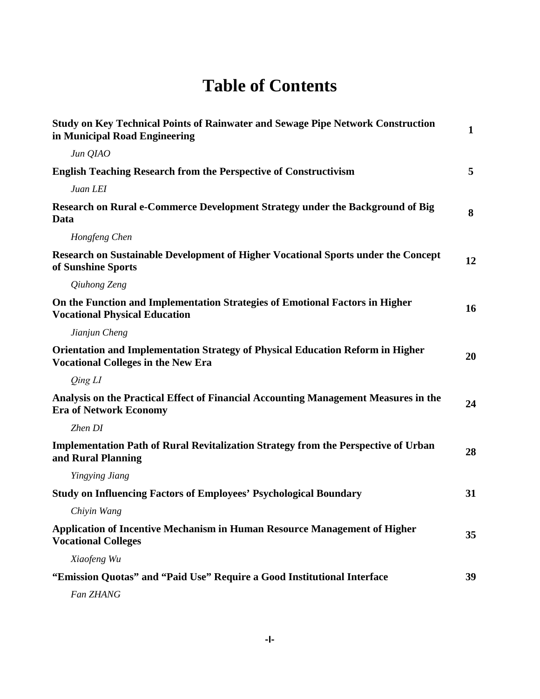## **Table of Contents**

| <b>Study on Key Technical Points of Rainwater and Sewage Pipe Network Construction</b><br>in Municipal Road Engineering            | $\mathbf{1}$ |
|------------------------------------------------------------------------------------------------------------------------------------|--------------|
| Jun QIAO                                                                                                                           |              |
| <b>English Teaching Research from the Perspective of Constructivism</b>                                                            | 5            |
| Juan LEI                                                                                                                           |              |
| Research on Rural e-Commerce Development Strategy under the Background of Big<br>Data                                              | 8            |
| Hongfeng Chen                                                                                                                      |              |
| Research on Sustainable Development of Higher Vocational Sports under the Concept<br>of Sunshine Sports                            | 12           |
| Qiuhong Zeng                                                                                                                       |              |
| On the Function and Implementation Strategies of Emotional Factors in Higher<br><b>Vocational Physical Education</b>               | 16           |
| Jianjun Cheng                                                                                                                      |              |
| <b>Orientation and Implementation Strategy of Physical Education Reform in Higher</b><br><b>Vocational Colleges in the New Era</b> | 20           |
| Qing LI                                                                                                                            |              |
| Analysis on the Practical Effect of Financial Accounting Management Measures in the<br><b>Era of Network Economy</b>               | 24           |
| Zhen DI                                                                                                                            |              |
| <b>Implementation Path of Rural Revitalization Strategy from the Perspective of Urban</b><br>and Rural Planning                    | 28           |
| Yingying Jiang                                                                                                                     |              |
| <b>Study on Influencing Factors of Employees' Psychological Boundary</b>                                                           | 31           |
| Chiyin Wang                                                                                                                        |              |
| Application of Incentive Mechanism in Human Resource Management of Higher<br><b>Vocational Colleges</b>                            | 35           |
| Xiaofeng Wu                                                                                                                        |              |
| "Emission Quotas" and "Paid Use" Require a Good Institutional Interface                                                            | 39           |
| Fan ZHANG                                                                                                                          |              |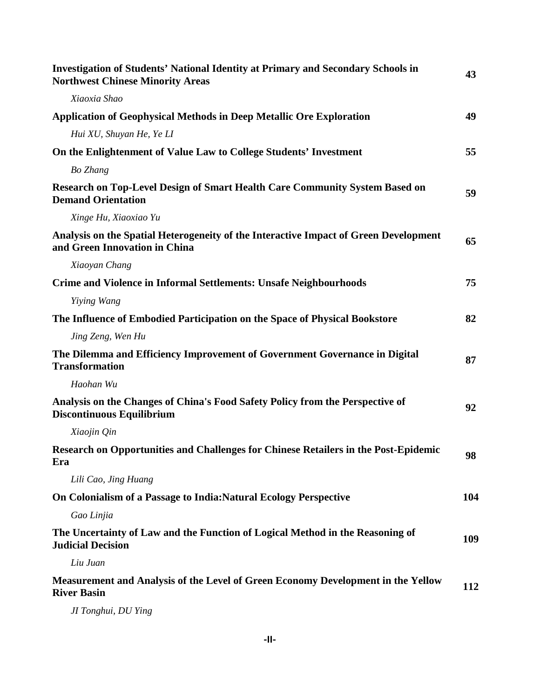| <b>Investigation of Students' National Identity at Primary and Secondary Schools in</b><br><b>Northwest Chinese Minority Areas</b> | 43  |
|------------------------------------------------------------------------------------------------------------------------------------|-----|
| Xiaoxia Shao                                                                                                                       |     |
| <b>Application of Geophysical Methods in Deep Metallic Ore Exploration</b>                                                         | 49  |
| Hui XU, Shuyan He, Ye LI                                                                                                           |     |
| On the Enlightenment of Value Law to College Students' Investment                                                                  | 55  |
| <b>Bo</b> Zhang                                                                                                                    |     |
| Research on Top-Level Design of Smart Health Care Community System Based on<br><b>Demand Orientation</b>                           | 59  |
| Xinge Hu, Xiaoxiao Yu                                                                                                              |     |
| Analysis on the Spatial Heterogeneity of the Interactive Impact of Green Development<br>and Green Innovation in China              | 65  |
| Xiaoyan Chang                                                                                                                      |     |
| <b>Crime and Violence in Informal Settlements: Unsafe Neighbourhoods</b>                                                           | 75  |
| Yiying Wang                                                                                                                        |     |
| The Influence of Embodied Participation on the Space of Physical Bookstore                                                         | 82  |
| Jing Zeng, Wen Hu                                                                                                                  |     |
| The Dilemma and Efficiency Improvement of Government Governance in Digital<br><b>Transformation</b>                                | 87  |
| Haohan Wu                                                                                                                          |     |
| Analysis on the Changes of China's Food Safety Policy from the Perspective of<br><b>Discontinuous Equilibrium</b>                  | 92  |
| Xiaojin Qin                                                                                                                        |     |
| Research on Opportunities and Challenges for Chinese Retailers in the Post-Epidemic<br>Era                                         | 98  |
| Lili Cao, Jing Huang                                                                                                               |     |
| On Colonialism of a Passage to India: Natural Ecology Perspective                                                                  | 104 |
| Gao Linjia                                                                                                                         |     |
| The Uncertainty of Law and the Function of Logical Method in the Reasoning of<br><b>Judicial Decision</b>                          | 109 |
| Liu Juan                                                                                                                           |     |
| Measurement and Analysis of the Level of Green Economy Development in the Yellow<br><b>River Basin</b>                             | 112 |
| JI Tonghui, DU Ying                                                                                                                |     |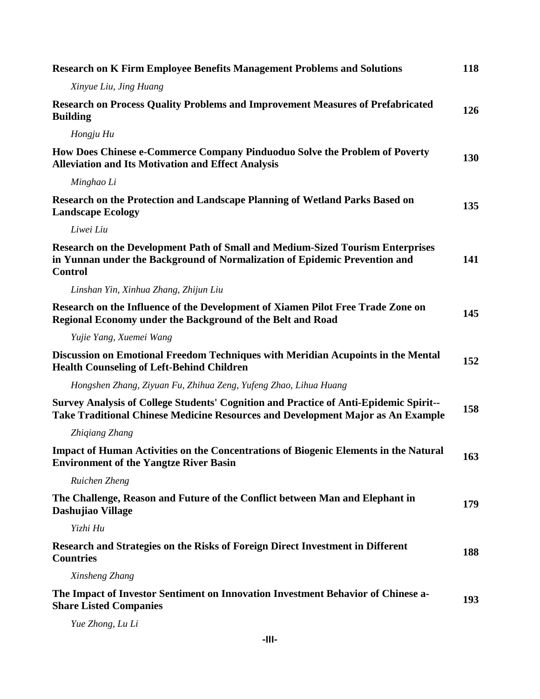| <b>Research on K Firm Employee Benefits Management Problems and Solutions</b>                                                                                                         | 118 |
|---------------------------------------------------------------------------------------------------------------------------------------------------------------------------------------|-----|
| Xinyue Liu, Jing Huang                                                                                                                                                                |     |
| <b>Research on Process Quality Problems and Improvement Measures of Prefabricated</b><br><b>Building</b>                                                                              | 126 |
| Hongju Hu                                                                                                                                                                             |     |
| How Does Chinese e-Commerce Company Pinduoduo Solve the Problem of Poverty<br><b>Alleviation and Its Motivation and Effect Analysis</b>                                               | 130 |
| Minghao Li                                                                                                                                                                            |     |
| Research on the Protection and Landscape Planning of Wetland Parks Based on<br><b>Landscape Ecology</b>                                                                               | 135 |
| Liwei Liu                                                                                                                                                                             |     |
| <b>Research on the Development Path of Small and Medium-Sized Tourism Enterprises</b><br>in Yunnan under the Background of Normalization of Epidemic Prevention and<br><b>Control</b> | 141 |
| Linshan Yin, Xinhua Zhang, Zhijun Liu                                                                                                                                                 |     |
| Research on the Influence of the Development of Xiamen Pilot Free Trade Zone on<br>Regional Economy under the Background of the Belt and Road                                         | 145 |
| Yujie Yang, Xuemei Wang                                                                                                                                                               |     |
| Discussion on Emotional Freedom Techniques with Meridian Acupoints in the Mental<br><b>Health Counseling of Left-Behind Children</b>                                                  | 152 |
| Hongshen Zhang, Ziyuan Fu, Zhihua Zeng, Yufeng Zhao, Lihua Huang                                                                                                                      |     |
| <b>Survey Analysis of College Students' Cognition and Practice of Anti-Epidemic Spirit--</b><br>Take Traditional Chinese Medicine Resources and Development Major as An Example       | 158 |
| Zhigiang Zhang                                                                                                                                                                        |     |
| <b>Impact of Human Activities on the Concentrations of Biogenic Elements in the Natural</b><br><b>Environment of the Yangtze River Basin</b>                                          | 163 |
| Ruichen Zheng                                                                                                                                                                         |     |
| The Challenge, Reason and Future of the Conflict between Man and Elephant in<br>Dashujiao Village                                                                                     | 179 |
| Yizhi Hu                                                                                                                                                                              |     |
| Research and Strategies on the Risks of Foreign Direct Investment in Different<br><b>Countries</b>                                                                                    | 188 |
| Xinsheng Zhang                                                                                                                                                                        |     |
| The Impact of Investor Sentiment on Innovation Investment Behavior of Chinese a-<br><b>Share Listed Companies</b>                                                                     | 193 |

*Yue Zhong, Lu Li*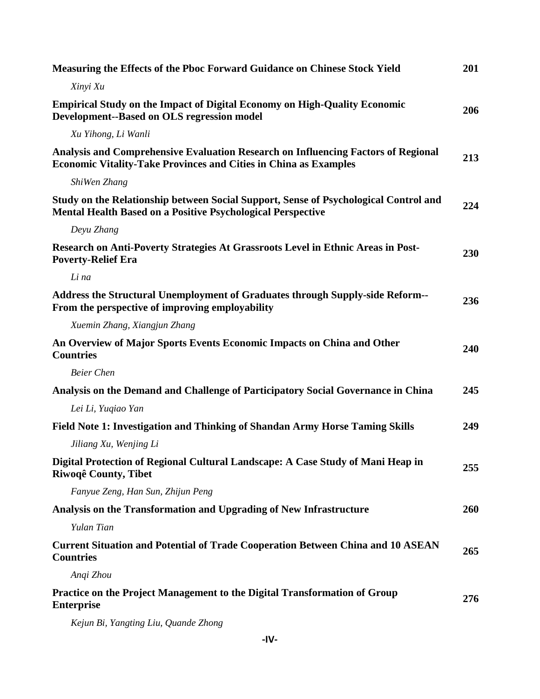| <b>Measuring the Effects of the Pboc Forward Guidance on Chinese Stock Yield</b>                                                                             | 201 |
|--------------------------------------------------------------------------------------------------------------------------------------------------------------|-----|
| Xinyi Xu                                                                                                                                                     |     |
| <b>Empirical Study on the Impact of Digital Economy on High-Quality Economic</b><br><b>Development--Based on OLS regression model</b>                        | 206 |
| Xu Yihong, Li Wanli                                                                                                                                          |     |
| Analysis and Comprehensive Evaluation Research on Influencing Factors of Regional<br><b>Economic Vitality-Take Provinces and Cities in China as Examples</b> | 213 |
| ShiWen Zhang                                                                                                                                                 |     |
| Study on the Relationship between Social Support, Sense of Psychological Control and<br><b>Mental Health Based on a Positive Psychological Perspective</b>   | 224 |
| Deyu Zhang                                                                                                                                                   |     |
| Research on Anti-Poverty Strategies At Grassroots Level in Ethnic Areas in Post-<br><b>Poverty-Relief Era</b>                                                | 230 |
| Li na                                                                                                                                                        |     |
| Address the Structural Unemployment of Graduates through Supply-side Reform--<br>From the perspective of improving employability                             | 236 |
| Xuemin Zhang, Xiangjun Zhang                                                                                                                                 |     |
| An Overview of Major Sports Events Economic Impacts on China and Other<br><b>Countries</b>                                                                   | 240 |
| <b>Beier Chen</b>                                                                                                                                            |     |
| Analysis on the Demand and Challenge of Participatory Social Governance in China                                                                             | 245 |
| Lei Li, Yuqiao Yan                                                                                                                                           |     |
| <b>Field Note 1: Investigation and Thinking of Shandan Army Horse Taming Skills</b>                                                                          | 249 |
| Jiliang Xu, Wenjing Li                                                                                                                                       |     |
| Digital Protection of Regional Cultural Landscape: A Case Study of Mani Heap in<br>Riwoqê County, Tibet                                                      | 255 |
| Fanyue Zeng, Han Sun, Zhijun Peng                                                                                                                            |     |
| Analysis on the Transformation and Upgrading of New Infrastructure                                                                                           | 260 |
| Yulan Tian                                                                                                                                                   |     |
| <b>Current Situation and Potential of Trade Cooperation Between China and 10 ASEAN</b><br><b>Countries</b>                                                   | 265 |
| Angi Zhou                                                                                                                                                    |     |
| Practice on the Project Management to the Digital Transformation of Group<br><b>Enterprise</b>                                                               | 276 |
|                                                                                                                                                              |     |

*Kejun Bi, Yangting Liu, Quande Zhong*